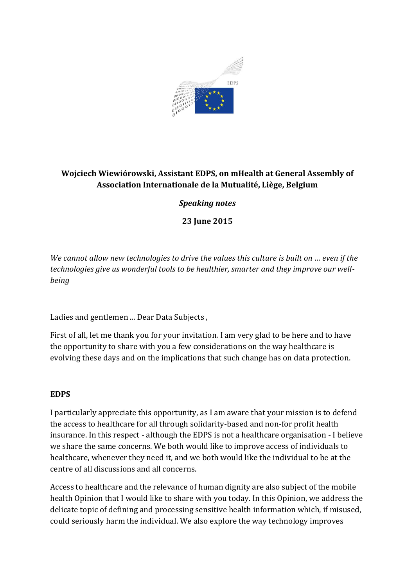

# **Wojciech Wiewiórowski, Assistant EDPS, on mHealth at General Assembly of Association Internationale de la Mutualité, Liège, Belgium**

# *Speaking notes*

**23 June 2015**

*We cannot allow new technologies to drive the values this culture is built on … even if the technologies give us wonderful tools to be healthier, smarter and they improve our wellbeing* 

Ladies and gentlemen ... Dear Data Subjects ,

First of all, let me thank you for your invitation. I am very glad to be here and to have the opportunity to share with you a few considerations on the way healthcare is evolving these days and on the implications that such change has on data protection.

### **EDPS**

I particularly appreciate this opportunity, as I am aware that your mission is to defend the access to healthcare for all through solidarity-based and non-for profit health insurance. In this respect - although the EDPS is not a healthcare organisation - I believe we share the same concerns. We both would like to improve access of individuals to healthcare, whenever they need it, and we both would like the individual to be at the centre of all discussions and all concerns.

Access to healthcare and the relevance of human dignity are also subject of the mobile health Opinion that I would like to share with you today. In this Opinion, we address the delicate topic of defining and processing sensitive health information which, if misused, could seriously harm the individual. We also explore the way technology improves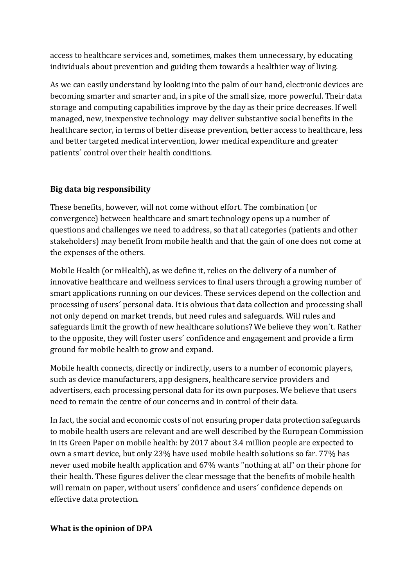access to healthcare services and, sometimes, makes them unnecessary, by educating individuals about prevention and guiding them towards a healthier way of living.

As we can easily understand by looking into the palm of our hand, electronic devices are becoming smarter and smarter and, in spite of the small size, more powerful. Their data storage and computing capabilities improve by the day as their price decreases. If well managed, new, inexpensive technology may deliver substantive social benefits in the healthcare sector, in terms of better disease prevention, better access to healthcare, less and better targeted medical intervention, lower medical expenditure and greater patients´ control over their health conditions.

## **Big data big responsibility**

These benefits, however, will not come without effort. The combination (or convergence) between healthcare and smart technology opens up a number of questions and challenges we need to address, so that all categories (patients and other stakeholders) may benefit from mobile health and that the gain of one does not come at the expenses of the others.

Mobile Health (or mHealth), as we define it, relies on the delivery of a number of innovative healthcare and wellness services to final users through a growing number of smart applications running on our devices. These services depend on the collection and processing of users´ personal data. It is obvious that data collection and processing shall not only depend on market trends, but need rules and safeguards. Will rules and safeguards limit the growth of new healthcare solutions? We believe they won´t. Rather to the opposite, they will foster users´ confidence and engagement and provide a firm ground for mobile health to grow and expand.

Mobile health connects, directly or indirectly, users to a number of economic players, such as device manufacturers, app designers, healthcare service providers and advertisers, each processing personal data for its own purposes. We believe that users need to remain the centre of our concerns and in control of their data.

In fact, the social and economic costs of not ensuring proper data protection safeguards to mobile health users are relevant and are well described by the European Commission in its Green Paper on mobile health: by 2017 about 3.4 million people are expected to own a smart device, but only 23% have used mobile health solutions so far. 77% has never used mobile health application and 67% wants "nothing at all" on their phone for their health. These figures deliver the clear message that the benefits of mobile health will remain on paper, without users' confidence and users' confidence depends on effective data protection.

### **What is the opinion of DPA**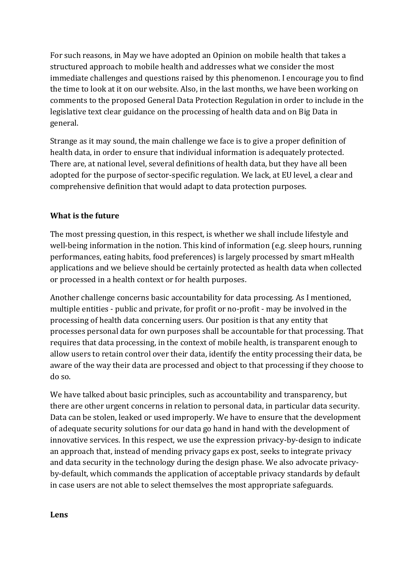For such reasons, in May we have adopted an Opinion on mobile health that takes a structured approach to mobile health and addresses what we consider the most immediate challenges and questions raised by this phenomenon. I encourage you to find the time to look at it on our website. Also, in the last months, we have been working on comments to the proposed General Data Protection Regulation in order to include in the legislative text clear guidance on the processing of health data and on Big Data in general.

Strange as it may sound, the main challenge we face is to give a proper definition of health data, in order to ensure that individual information is adequately protected. There are, at national level, several definitions of health data, but they have all been adopted for the purpose of sector-specific regulation. We lack, at EU level, a clear and comprehensive definition that would adapt to data protection purposes.

## **What is the future**

The most pressing question, in this respect, is whether we shall include lifestyle and well-being information in the notion. This kind of information (e.g. sleep hours, running performances, eating habits, food preferences) is largely processed by smart mHealth applications and we believe should be certainly protected as health data when collected or processed in a health context or for health purposes.

Another challenge concerns basic accountability for data processing. As I mentioned, multiple entities - public and private, for profit or no-profit - may be involved in the processing of health data concerning users. Our position is that any entity that processes personal data for own purposes shall be accountable for that processing. That requires that data processing, in the context of mobile health, is transparent enough to allow users to retain control over their data, identify the entity processing their data, be aware of the way their data are processed and object to that processing if they choose to do so.

We have talked about basic principles, such as accountability and transparency, but there are other urgent concerns in relation to personal data, in particular data security. Data can be stolen, leaked or used improperly. We have to ensure that the development of adequate security solutions for our data go hand in hand with the development of innovative services. In this respect, we use the expression privacy-by-design to indicate an approach that, instead of mending privacy gaps ex post, seeks to integrate privacy and data security in the technology during the design phase. We also advocate privacyby-default, which commands the application of acceptable privacy standards by default in case users are not able to select themselves the most appropriate safeguards.

**Lens**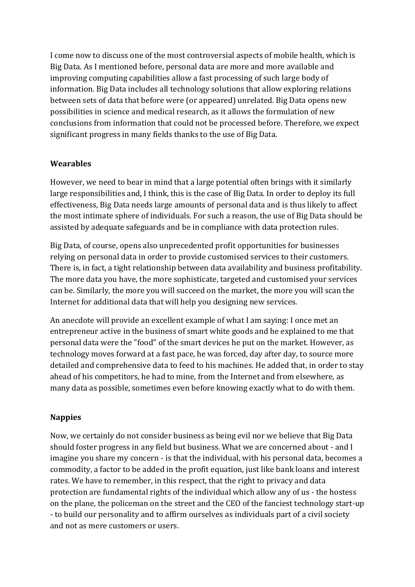I come now to discuss one of the most controversial aspects of mobile health, which is Big Data. As I mentioned before, personal data are more and more available and improving computing capabilities allow a fast processing of such large body of information. Big Data includes all technology solutions that allow exploring relations between sets of data that before were (or appeared) unrelated. Big Data opens new possibilities in science and medical research, as it allows the formulation of new conclusions from information that could not be processed before. Therefore, we expect significant progress in many fields thanks to the use of Big Data.

### **Wearables**

However, we need to bear in mind that a large potential often brings with it similarly large responsibilities and, I think, this is the case of Big Data. In order to deploy its full effectiveness, Big Data needs large amounts of personal data and is thus likely to affect the most intimate sphere of individuals. For such a reason, the use of Big Data should be assisted by adequate safeguards and be in compliance with data protection rules.

Big Data, of course, opens also unprecedented profit opportunities for businesses relying on personal data in order to provide customised services to their customers. There is, in fact, a tight relationship between data availability and business profitability. The more data you have, the more sophisticate, targeted and customised your services can be. Similarly, the more you will succeed on the market, the more you will scan the Internet for additional data that will help you designing new services.

An anecdote will provide an excellent example of what I am saying: I once met an entrepreneur active in the business of smart white goods and he explained to me that personal data were the "food" of the smart devices he put on the market. However, as technology moves forward at a fast pace, he was forced, day after day, to source more detailed and comprehensive data to feed to his machines. He added that, in order to stay ahead of his competitors, he had to mine, from the Internet and from elsewhere, as many data as possible, sometimes even before knowing exactly what to do with them.

# **Nappies**

Now, we certainly do not consider business as being evil nor we believe that Big Data should foster progress in any field but business. What we are concerned about - and I imagine you share my concern - is that the individual, with his personal data, becomes a commodity, a factor to be added in the profit equation, just like bank loans and interest rates. We have to remember, in this respect, that the right to privacy and data protection are fundamental rights of the individual which allow any of us - the hostess on the plane, the policeman on the street and the CEO of the fanciest technology start-up - to build our personality and to affirm ourselves as individuals part of a civil society and not as mere customers or users.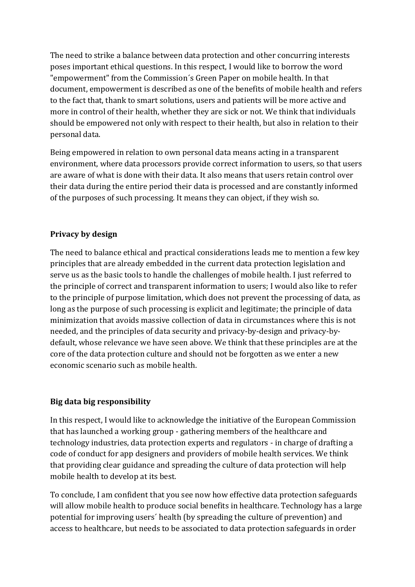The need to strike a balance between data protection and other concurring interests poses important ethical questions. In this respect, I would like to borrow the word "empowerment" from the Commission´s Green Paper on mobile health. In that document, empowerment is described as one of the benefits of mobile health and refers to the fact that, thank to smart solutions, users and patients will be more active and more in control of their health, whether they are sick or not. We think that individuals should be empowered not only with respect to their health, but also in relation to their personal data.

Being empowered in relation to own personal data means acting in a transparent environment, where data processors provide correct information to users, so that users are aware of what is done with their data. It also means that users retain control over their data during the entire period their data is processed and are constantly informed of the purposes of such processing. It means they can object, if they wish so.

## **Privacy by design**

The need to balance ethical and practical considerations leads me to mention a few key principles that are already embedded in the current data protection legislation and serve us as the basic tools to handle the challenges of mobile health. I just referred to the principle of correct and transparent information to users; I would also like to refer to the principle of purpose limitation, which does not prevent the processing of data, as long as the purpose of such processing is explicit and legitimate; the principle of data minimization that avoids massive collection of data in circumstances where this is not needed, and the principles of data security and privacy-by-design and privacy-bydefault, whose relevance we have seen above. We think that these principles are at the core of the data protection culture and should not be forgotten as we enter a new economic scenario such as mobile health.

### **Big data big responsibility**

In this respect, I would like to acknowledge the initiative of the European Commission that has launched a working group - gathering members of the healthcare and technology industries, data protection experts and regulators - in charge of drafting a code of conduct for app designers and providers of mobile health services. We think that providing clear guidance and spreading the culture of data protection will help mobile health to develop at its best.

To conclude, I am confident that you see now how effective data protection safeguards will allow mobile health to produce social benefits in healthcare. Technology has a large potential for improving users´ health (by spreading the culture of prevention) and access to healthcare, but needs to be associated to data protection safeguards in order